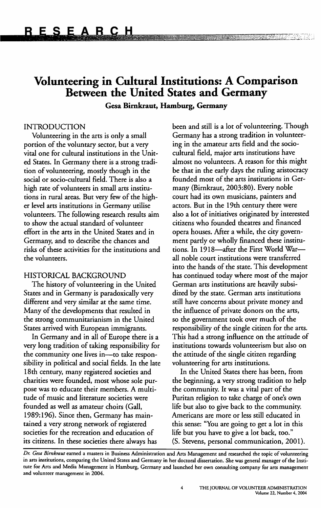# **Volunteering in Cultural Institutions: A Comparison Between the United States and Germany**

**Gesa Bimkraut, Hamburg, Germany** 

## INTRODUCTION

Volunteering in the arts is only a small portion of the voluntary sector, but a very vital one for cultural institutions in the United States. In Germany there is a strong tradition of volunteering, mostly though in the social or socio-cultural field. There is also a high rate of volunteers in small arts institutions in rural areas. But very few of the higher level arts institutions in Germany utilise volunteers. The following research results aim to show the actual standard of volunteer effort in the arts in the United States and in Germany, and to describe the chances and risks of these activities for the institutions and the volunteers.

## HISTORICAL BACKGROUND

The history of volunteering in the United States and in Germany is paradoxically very different and very similar at the same time. Many of the developments that resulted in the strong communitarianism in the United States arrived with European immigrants.

In Germany and in all of Europe there is a very long tradition of taking responsibility for the community one lives in--to take responsibility in political and social fields. In the late 18th century, many registered societies and charities were founded, most whose sole purpose was to educate their members. A multitude of music and literature societies were founded as well as amateur choirs (Gall, 1989:196). Since then, Germany has maintained a very strong network of registered societies for the recreation and education of its citizens. In these societies there always has

been and still is a lot of volunteering. Though Germany has a strong tradition in volunteering in the amateur arts field and the sociocultural field, major arts institutions have almost no volunteers. A reason for this might be that in the early days the ruling aristocracy founded most of the arts institutions in Germany (Birnkraut, 2003:80). Every noble court had its own musicians, painters and actors. But in the 19th century there were also a lot of initiatives originated by interested citizens who founded theatres and financed opera houses. After a while, the city government partly or wholly financed these institutions. In 1918-after the First World Warall noble court institutions were transferred into the hands of the state. This development has continued today where most of the major German arts institutions are heavily subsidized by the state. German arts institutions still have concerns about private money and the influence of private donors on the arts, so the government took over much of the responsibility of the single citizen for the arts. This had a strong influence on the attitude of institutions towards volunteerism but also on the attitude of the single citizen regarding volunteering for arts institutions.

In the United States there has been, from the beginning, a very strong tradition to help the community. It was a vital part of the Puritan religion to take charge of one's own life but also to give back to the community. Americans are more or less still educated in this sense: "You are going to get a lot in this life but you have to give a lot back, too." (S. Stevens, personal communication, 2001).

*Dr. Gesa Bimkraut* earned a masters in Business Administration and Arts Management and researched the topic of volunteering in arts institutions, comparing the United States and Germany in her doctoral dissertation. She was general manager of the Institute for Arts and Media Management in Hamburg, Germany and launched her own consulting company for arcs management and volunteer management in 2004.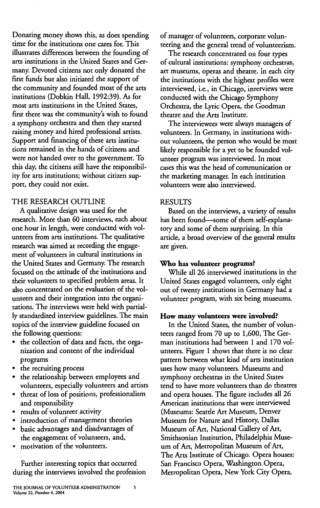Donating money shows this, as does spending time for the institutions one cares for. This illustrates differences between the founding of arts institutions in the United States and Germany. Devoted citizens not only donated the first funds but also initiated the support of the community and founded most of the arts institutions (Dobkin Hall, 1992:39). *As* for most arts institutions in the United States, first there was the community's wish to found a symphony orchestra and then they started raising money and hired professional artists. Support and financing of these arts institutions remained in the hands of citizens and were not handed over to the government. To this day, the citizens still have the responsibility for arts institutions; without citizen support, they could not exist.

# THE RESEARCH OUTLINE

A qualitative design was used for the research. More than 60 interviews, each about one hour in length, were conducted with volunteers from arts institutions. The qualitative research was aimed at recording the engagement of volunteers in cultural institutions in the United States and Germany. The research focused on the attitude of the institutions and their volunteers to specified problem areas. It also concentrated on the evaluation of the volunteers and their integration into the organizations. The interviews were held with partially standardized interview guidelines. The main topics of the interview guideline focused on the following questions:

- the collection of data and facts, the organization and content of the individual programs
- the recruiting process
- the relationship between employees and volunteers, especially volunteers and artists
- threat of loss of positions, professionalism and responsibility
- results of volunteer activity
- introduction of management theories
- basic advantages and disadvantages of the engagement of volunteers, and,
- motivation of the volunteers.

Further interesting topics that occurred during the interviews involved the profession of manager of volunteers, corporate volunteering and the general trend of volunteerism.

The research concentrated on four types of cultural institutions: symphony orchestras, art museums, operas and theatre. In each city the institutions with the highest profiles were interviewed, i.e., in Chicago, interviews were conducted with the Chicago Symphony Orchestra, the Lyric Opera, the Goodman theatre and the Arts Institute.

The interviewees were always managers of volunteers. In Germany, in institutions without volunteers, the person who would be most likely responsible for a yet to be founded volunteer program was interviewed. In most cases this was the head of communication or the marketing manager. In each institution volunteers were also interviewed.

## RESULTS

Based on the interviews, a variety of results has been found-some of them self-explanatory and some of them surprising. In this article, a broad overview of the general results are given.

### **Who has volunteer programs?**

While all 26 interviewed institutions in the United States engaged volunteers, only eight out of twenty institutions in Germany had a volunteer program, with six being museums.

### **How many volunteers were involved?**

In the United States, the number of volunteers ranged from 70 up to 1,600, The German institutions had between I and 170 volunteers. Figure 1 shows that there is no clear pattern between what kind of arts institution uses how many volunteers. Museums and symphony orchestras in the United States tend to have more volunteers than do theatres and opera houses. The figure includes all 26 American institutions that were interviewed (Museums: Seattle Art Museum, Denver Museum for Nature and History, Dallas Museum of Art, National Gallery of Art, Smithsonian Institution, Philadelphia Museum of Art, Metropolitan Museum of Art, The Arts Institute of Chicago. Opera houses: San Francisco Opera, Washington Opera, Metropolitan Opera, New York City Opera,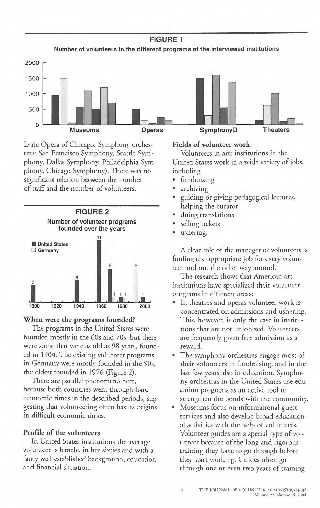**FIGURE 1 Number of volunteers in the different programs of the interviewed institutions** 



Lyric Opera of Chicago. Symphony orchestras: San Francisco Symphony, Seartle Symphony, Dallas Symphony, Philadelphia Symphony, Chicago Symphony). There was no significant relation between the number of staff and the number of volunteers.



#### **When were the programs founded?**

The programs in the United States were founded moscly in the 60s and 70s, but there were some that were as old as 98 years, founded in 1904. The existing volunteer programs in Germany were moscly founded in the 90s, the oldest founded in 1976 (Figure 2).

There are parallel phenomena here, because both countries went through hard economic times in the described periods, suggesting that volunteering often has its origins in difficult economic times.

## **Profile of the volunteers**

In United States institutions the average volunteer is female, in her sixties and with a fairly well established background, education and financial situation.

# **Fields of volunteer work**

Volunteers in arcs institutions in the United States work in a wide variety of jobs, including

- fundraising
- archiving
- guiding or giving pedagogical lectures, helping the curator
- doing translations
- selling tickets
- ushering.

A clear role of the manager of volunteers is finding the appropriate job for every volunteer and not the ocher way around.

The research shows that American art institutions have specialized their volunreer programs in different areas:

- In theatres and operas volunteer work is concentrated on admissions and ushering. This, however, is only the case in institutions chat are not unionized. Volunteers are frequently given free admission as a reward.
- The symphony orchestras engage most of their volunteers in fundraising, and in the last few years also in education. Symphony orchestras in the United States use education programs as an active cool co strengthen the bonds with the communiry.
- Museums focus on informational guest services and also develop broad educational activities with the help of volunteers. Volunteer guides are a special rype of volunteer because of the long and rigorous training they have co go through before they start working. Guides often go through one or even two years of training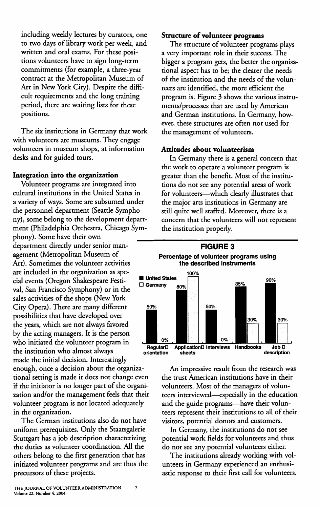including weekly lectures by curators, one to two days of library work per week, and written and oral exams. For these positions volunteers have to sign long-term commitments (for example, a three-year contract at the Metropolitan Museum of Art in New York City). Despite the difficult requirements and the long training period, there are waiting lists for these positions.

The six institutions in Germany that work with volunteers are museums. They engage volunteers in museum shops, at information desks and for guided tours.

### **Integration into the organization**

Volunteer programs are integrated into cultural institutions in the United States in a variety of ways. Some are subsumed under the personnel department (Seattle Symphony), some belong to the development department (Philadelphia Orchestra, Chicago Sym-

phony). Some have their own department directly under senior management (Metropolitan Museum of Art). Sometimes the volunteer activities are included in the organization as spe-<br>
aid sugges (Organs Sheleeneene Eesti United States cial events (Oregon Shakespeare Festi- ■ **United states** □ **Germany** val, San Francisco Symphony) or in the sales activities of the shops (New York City Opera). There are many different possibilities that have developed over the years, which are not always favored by the acting managers. It is the person who initiated the volunteer program in made the initial decision. Interestingly

enough, once a decision about the organizational setting is made it does not change even if the initiator is no longer part of the organization and/or the management feels that their volunteer program is not located adequately in the organization.

The German institutions also do not have uniform prerequisites. Only the Staatsgalerie Stuttgart has a job description characterizing the duties as volunteer coordination. All the others belong to the first generation that has initiated volunteer programs and are thus the precursors of these projects.

# **Structure of volunteer programs**

The structure of volunteer programs plays a very important role in their success. The bigger a program gets, the better the organisational aspect has to be; the clearer the needs of the institution and the needs of the volunteers are identified, the more efficient the program is. Figure 3 shows the various instruments/processes that are used by American and German institutions. In Germany, however, these structures are often not used for the management of volunteers.

# **Attitudes about volunteerism**

In Germany there is a general concern that the work to operate a volunteer program is greater than the benefit. Most of the institutions do not see any potential areas of work for volunteers--which clearly illustrates that the major arts institutions in Germany are still quite well staffed. Moreover, there is a concern that the volunteers will not represent the institution properly.



An impressive result from the research was the trust American institutions have in their volunteers. Most of the managers of volunteers interviewed-especially in the education and the guide programs-have their volunteers represent their institutions to all of their visitors, potential donors and customers.

In Germany, the institutions do not see potential work fields for volunteers and thus do not see any potential volunteers either.

The institutions already working with volunteers in Germany experienced an enthusiastic response to their first call for volunteers.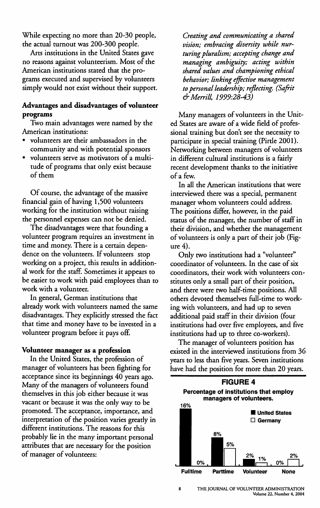While expecting no more than 20-30 people, the actual turnout was 200-300 people.

Arts institutions in the United States gave no reasons against volunteerism. Most of the American institutions stated that the programs executed and supervised by volunteers simply would not exist without their support.

# **Advantages and disadvantages of volunteer programs**

Two main advantages were named by the American institutions:

- volunteers are their ambassadors in the community and with potential sponsors
- volunteers serve as motivators of a multitude of programs that only exist because of them

Of course, the advantage of the massive financial gain of having 1,500 volunteers working for the institution without raising the personnel expenses can not be denied.

The disadvantages were that founding a volunteer program requires an investment in time and money. There is a certain dependence on the volunteers. If volunteers stop working on a project, this results in additional work for the staff. Sometimes it appears to be easier to work with paid employees than to work with a volunteer.

In general, German institutions that already work with volunteers named the same disadvantages. They explicitly stressed the fact that time and money have to be invested in a volunteer program before it pays off.

### **Volunteer manager as a profession**

In the United States, the profession of manager of volunteers has been fighting for acceptance since its beginnings 40 years ago. Many of the managers of volunteers found themselves in this job either because it was vacant or because it was the only way to be promoted. The acceptance, importance, and interpretation of the position varies greatly in different institutions. The reasons for this probably lie in the many important personal attributes that are necessary for the position of manager of volunteers:

*Creating and communicating a shared vision; embracing diversity while nurturing pluralism; accepting change and managing ambiguity; acting within shared values and championing ethical behavior; linking effective management to personal leadership; reflecting. (Safrit & Merrill 1999:28-43)* 

Many managers of volunteers in the United States are aware of a wide field of professional training but don't see the necessity to participate in special training (Pirtle 2001). Networking between managers of volunteers in different cultural institutions is a fairly recent development thanks to the initiative of a few.

In all the American institutions that were interviewed there was a special, permanent manager whom volunteers could address. The positions differ, however, in the paid status of the manager, the number of staff in their division, and whether the management of volunteers is only a part of their job (Figure 4).

Only two institutions had a "volunteer" coordinator of volunteers. In the case of six coordinators, their work with volunteers constitutes only a small part of their position, and there were two half-time positions. All others devoted themselves full-time to working with volunteers, and had up to seven additional paid staff in their division (four institutions had over five employees, and five institutions had up to three co-workers).

The manager of volunteers position has existed in the interviewed institutions from 36 years to less than five years. Seven institutions have had the position for more than 20 years.



8 THE JOURNAL OF VOLUNTEER ADMINISTRATION Volume 22, Number 4, 2004